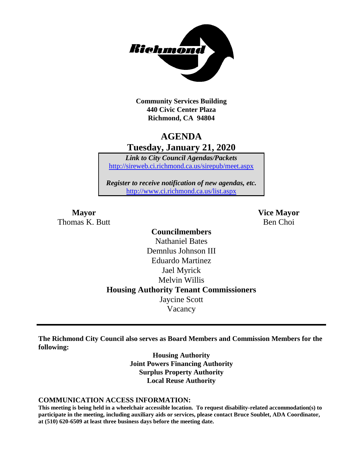

**Community Services Building 440 Civic Center Plaza Richmond, CA 94804**

## **AGENDA Tuesday, January 21, 2020**

*Link to City Council Agendas/Packets* <http://sireweb.ci.richmond.ca.us/sirepub/meet.aspx>

*Register to receive notification of new agendas, etc.* <http://www.ci.richmond.ca.us/list.aspx>

Thomas K. Butt Ben Choi

**Mayor Vice Mayor**

## **Councilmembers** Nathaniel Bates Demnlus Johnson III Eduardo Martinez Jael Myrick Melvin Willis **Housing Authority Tenant Commissioners** Jaycine Scott Vacancy

**The Richmond City Council also serves as Board Members and Commission Members for the following:**

> **Housing Authority Joint Powers Financing Authority Surplus Property Authority Local Reuse Authority**

#### **COMMUNICATION ACCESS INFORMATION:**

**This meeting is being held in a wheelchair accessible location. To request disability-related accommodation(s) to participate in the meeting, including auxiliary aids or services, please contact Bruce Soublet, ADA Coordinator, at (510) 620-6509 at least three business days before the meeting date.**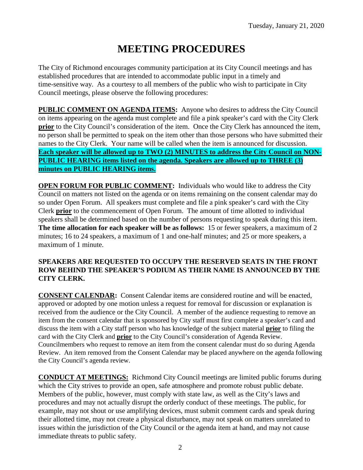# **MEETING PROCEDURES**

The City of Richmond encourages community participation at its City Council meetings and has established procedures that are intended to accommodate public input in a timely and time-sensitive way. As a courtesy to all members of the public who wish to participate in City Council meetings, please observe the following procedures:

**PUBLIC COMMENT ON AGENDA ITEMS:** Anyone who desires to address the City Council on items appearing on the agenda must complete and file a pink speaker's card with the City Clerk **prior** to the City Council's consideration of the item. Once the City Clerk has announced the item, no person shall be permitted to speak on the item other than those persons who have submitted their names to the City Clerk. Your name will be called when the item is announced for discussion. **Each speaker will be allowed up to TWO (2) MINUTES to address the City Council on NON-PUBLIC HEARING items listed on the agenda. Speakers are allowed up to THREE (3) minutes on PUBLIC HEARING items.**

**OPEN FORUM FOR PUBLIC COMMENT:** Individuals who would like to address the City Council on matters not listed on the agenda or on items remaining on the consent calendar may do so under Open Forum. All speakers must complete and file a pink speaker's card with the City Clerk **prior** to the commencement of Open Forum. The amount of time allotted to individual speakers shall be determined based on the number of persons requesting to speak during this item. **The time allocation for each speaker will be as follows:** 15 or fewer speakers, a maximum of 2 minutes; 16 to 24 speakers, a maximum of 1 and one-half minutes; and 25 or more speakers, a maximum of 1 minute.

#### **SPEAKERS ARE REQUESTED TO OCCUPY THE RESERVED SEATS IN THE FRONT ROW BEHIND THE SPEAKER'S PODIUM AS THEIR NAME IS ANNOUNCED BY THE CITY CLERK.**

**CONSENT CALENDAR:** Consent Calendar items are considered routine and will be enacted, approved or adopted by one motion unless a request for removal for discussion or explanation is received from the audience or the City Council. A member of the audience requesting to remove an item from the consent calendar that is sponsored by City staff must first complete a speaker's card and discuss the item with a City staff person who has knowledge of the subject material **prior** to filing the card with the City Clerk and **prior** to the City Council's consideration of Agenda Review. Councilmembers who request to remove an item from the consent calendar must do so during Agenda Review. An item removed from the Consent Calendar may be placed anywhere on the agenda following the City Council's agenda review.

**CONDUCT AT MEETINGS:** Richmond City Council meetings are limited public forums during which the City strives to provide an open, safe atmosphere and promote robust public debate. Members of the public, however, must comply with state law, as well as the City's laws and procedures and may not actually disrupt the orderly conduct of these meetings. The public, for example, may not shout or use amplifying devices, must submit comment cards and speak during their allotted time, may not create a physical disturbance, may not speak on matters unrelated to issues within the jurisdiction of the City Council or the agenda item at hand, and may not cause immediate threats to public safety.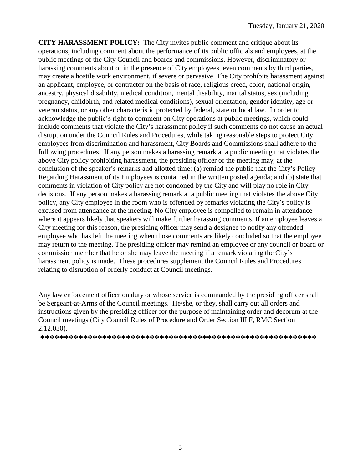**CITY HARASSMENT POLICY:** The City invites public comment and critique about its operations, including comment about the performance of its public officials and employees, at the public meetings of the City Council and boards and commissions. However, discriminatory or harassing comments about or in the presence of City employees, even comments by third parties, may create a hostile work environment, if severe or pervasive. The City prohibits harassment against an applicant, employee, or contractor on the basis of race, religious creed, color, national origin, ancestry, physical disability, medical condition, mental disability, marital status, sex (including pregnancy, childbirth, and related medical conditions), sexual orientation, gender identity, age or veteran status, or any other characteristic protected by federal, state or local law. In order to acknowledge the public's right to comment on City operations at public meetings, which could include comments that violate the City's harassment policy if such comments do not cause an actual disruption under the Council Rules and Procedures, while taking reasonable steps to protect City employees from discrimination and harassment, City Boards and Commissions shall adhere to the following procedures. If any person makes a harassing remark at a public meeting that violates the above City policy prohibiting harassment, the presiding officer of the meeting may, at the conclusion of the speaker's remarks and allotted time: (a) remind the public that the City's Policy Regarding Harassment of its Employees is contained in the written posted agenda; and (b) state that comments in violation of City policy are not condoned by the City and will play no role in City decisions. If any person makes a harassing remark at a public meeting that violates the above City policy, any City employee in the room who is offended by remarks violating the City's policy is excused from attendance at the meeting. No City employee is compelled to remain in attendance where it appears likely that speakers will make further harassing comments. If an employee leaves a City meeting for this reason, the presiding officer may send a designee to notify any offended employee who has left the meeting when those comments are likely concluded so that the employee may return to the meeting. The presiding officer may remind an employee or any council or board or commission member that he or she may leave the meeting if a remark violating the City's harassment policy is made. These procedures supplement the Council Rules and Procedures relating to disruption of orderly conduct at Council meetings.

Any law enforcement officer on duty or whose service is commanded by the presiding officer shall be Sergeant-at-Arms of the Council meetings. He/she, or they, shall carry out all orders and instructions given by the presiding officer for the purpose of maintaining order and decorum at the Council meetings (City Council Rules of Procedure and Order Section III F, RMC Section 2.12.030).

**\*\*\*\*\*\*\*\*\*\*\*\*\*\*\*\*\*\*\*\*\*\*\*\*\*\*\*\*\*\*\*\*\*\*\*\*\*\*\*\*\*\*\*\*\*\*\*\*\*\*\*\*\*\*\*\*\*\***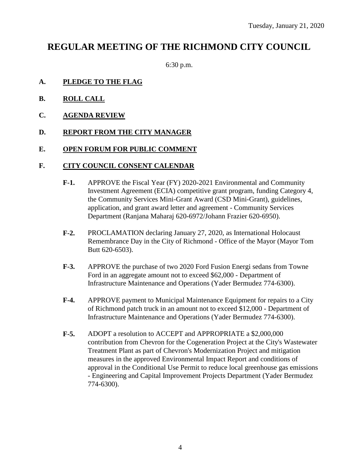## **REGULAR MEETING OF THE RICHMOND CITY COUNCIL**

6:30 p.m.

#### **A. PLEDGE TO THE FLAG**

- **B. ROLL CALL**
- **C. AGENDA REVIEW**

#### **D. REPORT FROM THE CITY MANAGER**

#### **E. OPEN FORUM FOR PUBLIC COMMENT**

#### **F. CITY COUNCIL CONSENT CALENDAR**

- **F-1.** APPROVE the Fiscal Year (FY) 2020-2021 Environmental and Community Investment Agreement (ECIA) competitive grant program, funding Category 4, the Community Services Mini-Grant Award (CSD Mini-Grant), guidelines, application, and grant award letter and agreement - Community Services Department (Ranjana Maharaj 620-6972/Johann Frazier 620-6950).
- **F-2.** PROCLAMATION declaring January 27, 2020, as International Holocaust Remembrance Day in the City of Richmond - Office of the Mayor (Mayor Tom Butt 620-6503).
- **F-3.** APPROVE the purchase of two 2020 Ford Fusion Energi sedans from Towne Ford in an aggregate amount not to exceed \$62,000 - Department of Infrastructure Maintenance and Operations (Yader Bermudez 774-6300).
- **F-4.** APPROVE payment to Municipal Maintenance Equipment for repairs to a City of Richmond patch truck in an amount not to exceed \$12,000 - Department of Infrastructure Maintenance and Operations (Yader Bermudez 774-6300).
- **F-5.** ADOPT a resolution to ACCEPT and APPROPRIATE a \$2,000,000 contribution from Chevron for the Cogeneration Project at the City's Wastewater Treatment Plant as part of Chevron's Modernization Project and mitigation measures in the approved Environmental Impact Report and conditions of approval in the Conditional Use Permit to reduce local greenhouse gas emissions - Engineering and Capital Improvement Projects Department (Yader Bermudez 774-6300).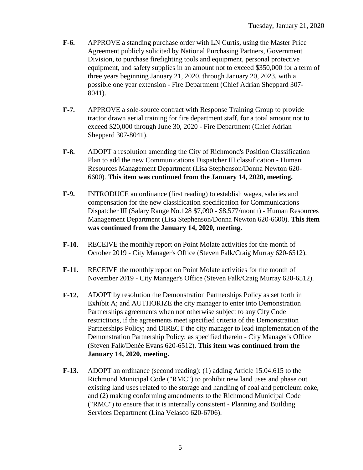- **F-6.** APPROVE a standing purchase order with LN Curtis, using the Master Price Agreement publicly solicited by National Purchasing Partners, Government Division, to purchase firefighting tools and equipment, personal protective equipment, and safety supplies in an amount not to exceed \$350,000 for a term of three years beginning January 21, 2020, through January 20, 2023, with a possible one year extension - Fire Department (Chief Adrian Sheppard 307- 8041).
- **F-7.** APPROVE a sole-source contract with Response Training Group to provide tractor drawn aerial training for fire department staff, for a total amount not to exceed \$20,000 through June 30, 2020 - Fire Department (Chief Adrian Sheppard 307-8041).
- **F-8.** ADOPT a resolution amending the City of Richmond's Position Classification Plan to add the new Communications Dispatcher III classification - Human Resources Management Department (Lisa Stephenson/Donna Newton 620- 6600). **This item was continued from the January 14, 2020, meeting.**
- **F-9.** INTRODUCE an ordinance (first reading) to establish wages, salaries and compensation for the new classification specification for Communications Dispatcher III (Salary Range No.128 \$7,090 - \$8,577/month) - Human Resources Management Department (Lisa Stephenson/Donna Newton 620-6600). **This item was continued from the January 14, 2020, meeting.**
- **F-10.** RECEIVE the monthly report on Point Molate activities for the month of October 2019 - City Manager's Office (Steven Falk/Craig Murray 620-6512).
- **F-11.** RECEIVE the monthly report on Point Molate activities for the month of November 2019 - City Manager's Office (Steven Falk/Craig Murray 620-6512).
- **F-12.** ADOPT by resolution the Demonstration Partnerships Policy as set forth in Exhibit A; and AUTHORIZE the city manager to enter into Demonstration Partnerships agreements when not otherwise subject to any City Code restrictions, if the agreements meet specified criteria of the Demonstration Partnerships Policy; and DIRECT the city manager to lead implementation of the Demonstration Partnership Policy; as specified therein - City Manager's Office (Steven Falk/Denée Evans 620-6512). **This item was continued from the January 14, 2020, meeting.**
- **F-13.** ADOPT an ordinance (second reading): (1) adding Article 15.04.615 to the Richmond Municipal Code ("RMC") to prohibit new land uses and phase out existing land uses related to the storage and handling of coal and petroleum coke, and (2) making conforming amendments to the Richmond Municipal Code ("RMC") to ensure that it is internally consistent - Planning and Building Services Department (Lina Velasco 620-6706).